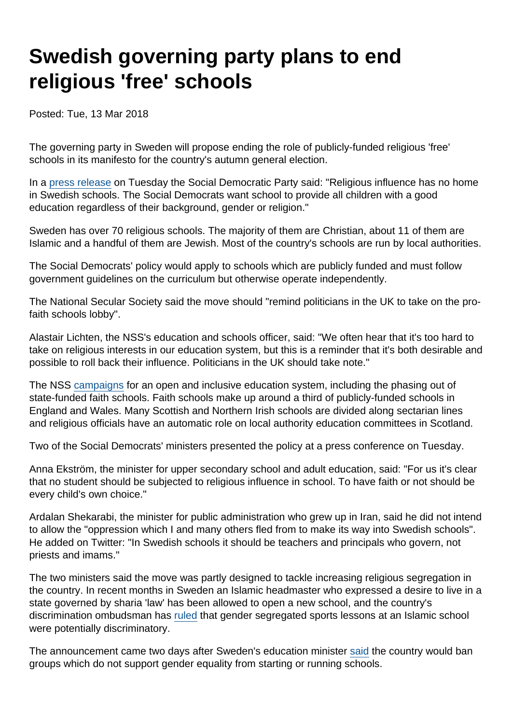## Swedish governing party plans to end religious 'free' schools

Posted: Tue, 13 Mar 2018

The governing party in Sweden will propose ending the role of publicly-funded religious 'free' schools in its manifesto for the country's autumn general election.

In a [press release](https://www.socialdemokraterna.se/aktuellt/2018/forbud-mot-religiosa-friskolor/) on Tuesday the Social Democratic Party said: "Religious influence has no home in Swedish schools. The Social Democrats want school to provide all children with a good education regardless of their background, gender or religion."

Sweden has over 70 religious schools. The majority of them are Christian, about 11 of them are Islamic and a handful of them are Jewish. Most of the country's schools are run by local authorities.

The Social Democrats' policy would apply to schools which are publicly funded and must follow government guidelines on the curriculum but otherwise operate independently.

The National Secular Society said the move should "remind politicians in the UK to take on the profaith schools lobby".

Alastair Lichten, the NSS's education and schools officer, said: "We often hear that it's too hard to take on religious interests in our education system, but this is a reminder that it's both desirable and possible to roll back their influence. Politicians in the UK should take note."

The NSS [campaigns](https://www.secularism.org.uk/faith-schools/) for an open and inclusive education system, including the phasing out of state-funded faith schools. Faith schools make up around a third of publicly-funded schools in England and Wales. Many Scottish and Northern Irish schools are divided along sectarian lines and religious officials have an automatic role on local authority education committees in Scotland.

Two of the Social Democrats' ministers presented the policy at a press conference on Tuesday.

Anna Ekström, the minister for upper secondary school and adult education, said: "For us it's clear that no student should be subjected to religious influence in school. To have faith or not should be every child's own choice."

Ardalan Shekarabi, the minister for public administration who grew up in Iran, said he did not intend to allow the "oppression which I and many others fled from to make its way into Swedish schools". He added on Twitter: "In Swedish schools it should be teachers and principals who govern, not priests and imams."

The two ministers said the move was partly designed to tackle increasing religious segregation in the country. In recent months in Sweden an Islamic headmaster who expressed a desire to live in a state governed by sharia 'law' has been allowed to open a new school, and the country's discrimination ombudsman has [ruled](https://www.thelocal.se/20170719/gender-segregated-school-bus-not-discriminatory-swedish-discrimination-ombudsman-rules) that gender segregated sports lessons at an Islamic school were potentially discriminatory.

The announcement came two days after Sweden's education minister [said](https://www.thelocal.se/20180311/sweden-to-tighten-law-on-religious-schools) the country would ban groups which do not support gender equality from starting or running schools.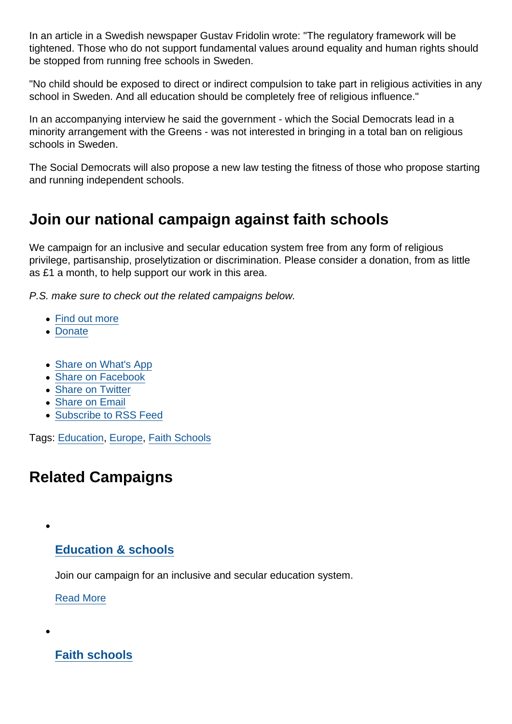In an article in a Swedish newspaper Gustav Fridolin wrote: "The regulatory framework will be tightened. Those who do not support fundamental values around equality and human rights should be stopped from running free schools in Sweden.

"No child should be exposed to direct or indirect compulsion to take part in religious activities in any school in Sweden. And all education should be completely free of religious influence."

In an accompanying interview he said the government - which the Social Democrats lead in a minority arrangement with the Greens - was not interested in bringing in a total ban on religious schools in Sweden.

The Social Democrats will also propose a new law testing the fitness of those who propose starting and running independent schools.

## Join our national campaign against faith schools

We campaign for an inclusive and secular education system free from any form of religious privilege, partisanship, proselytization or discrimination. Please consider a donation, from as little as £1 a month, to help support our work in this area.

P.S. make sure to check out the related campaigns below.

- [Find out more](https://www.secularism.org.uk/faith-schools/)
- [Donate](https://www.secularism.org.uk/donate.html)
- [Share on What's App](whatsapp://send?text=http://www.secularism.org.uk/news/2018/03/swedish-governing-party-will-propose-ending-religious-free-schools?format=pdf)
- [Share on Facebook](https://www.facebook.com/sharer/sharer.php?u=http://www.secularism.org.uk/news/2018/03/swedish-governing-party-will-propose-ending-religious-free-schools?format=pdf&t=Swedish+governing+party+plans+to+end+religious+)
- [Share on Twitter](https://twitter.com/intent/tweet?url=http://www.secularism.org.uk/news/2018/03/swedish-governing-party-will-propose-ending-religious-free-schools?format=pdf&text=Swedish+governing+party+plans+to+end+religious+)
- [Share on Email](https://www.secularism.org.uk/share.html?url=http://www.secularism.org.uk/news/2018/03/swedish-governing-party-will-propose-ending-religious-free-schools?format=pdf&title=Swedish+governing+party+plans+to+end+religious+)
- [Subscribe to RSS Feed](/mnt/web-data/www/cp-nss/feeds/rss/news)

Tags: [Education,](https://www.secularism.org.uk/news/tags/Education) [Europe](https://www.secularism.org.uk/news/tags/Europe), [Faith Schools](https://www.secularism.org.uk/news/tags/Faith+Schools)

## Related Campaigns

## [Education & schools](https://www.secularism.org.uk/education/)

Join our campaign for an inclusive and secular education system.

[Read More](https://www.secularism.org.uk/education/)

[Faith schools](https://www.secularism.org.uk/faith-schools/)